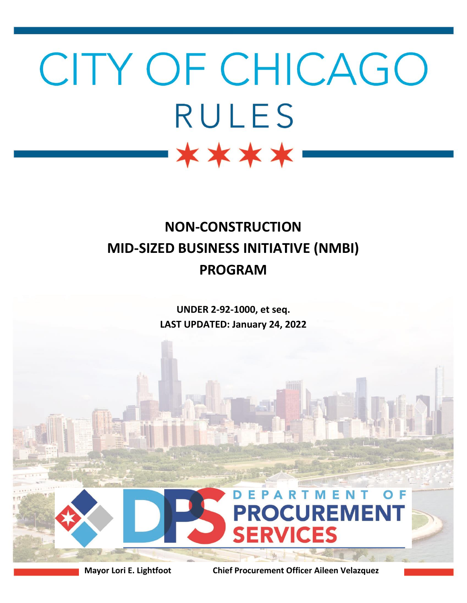# CITY OF CHICAGO **RULES** \*\*\*\*

## **NON-CONSTRUCTION MID-SIZED BUSINESS INITIATIVE (NMBI) PROGRAM**

**UNDER 2-92-1000, et seq. LAST UPDATED: January 24, 2022**



**Mayor Lori E. Lightfoot Chief Procurement Officer Aileen Velazquez**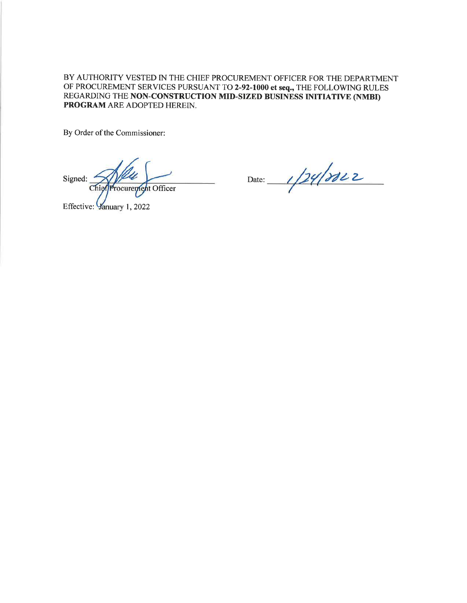BY AUTHORITY VESTED IN THE CHIEF PROCUREMENT OFFICER FOR THE DEPARTMENT OF PROCUREMENT SERVICES PURSUANT TO 2-92-1000 et seq., THE FOLLOWING RULES REGARDING THE NON-CONSTRUCTION MID-SIZED BUSINESS INITIATIVE (NMBI) PROGRAM ARE ADOPTED HEREIN.

By Order of the Commissioner:

Signed: Chief Procurement Officer

Effective: Vanuary 1, 2022

Date:  $1/24/3822$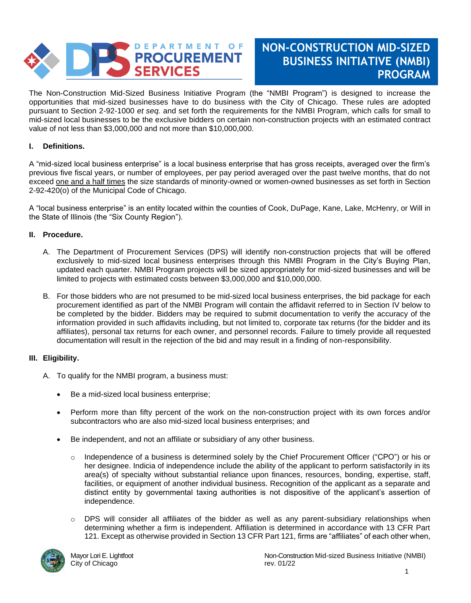

### **NON-CONSTRUCTION MID-SIZED BUSINESS INITIATIVE (NMBI) PROGRAM**

The Non-Construction Mid-Sized Business Initiative Program (the "NMBI Program") is designed to increase the opportunities that mid-sized businesses have to do business with the City of Chicago. These rules are adopted pursuant to Section 2-92-1000 *et seq.* and set forth the requirements for the NMBI Program, which calls for small to mid-sized local businesses to be the exclusive bidders on certain non-construction projects with an estimated contract value of not less than \$3,000,000 and not more than \$10,000,000.

#### **I.. Definitions.**

A "mid-sized local business enterprise" is a local business enterprise that has gross receipts, averaged over the firm's previous five fiscal years, or number of employees, per pay period averaged over the past twelve months, that do not exceed one and a half times the size standards of minority-owned or women-owned businesses as set forth in Section 2-92-420(o) of the Municipal Code of Chicago.

A "local business enterprise" is an entity located within the counties of Cook, DuPage, Kane, Lake, McHenry, or Will in the State of Illinois (the "Six County Region").

#### **II. Procedure.**

- A. The Department of Procurement Services (DPS) will identify non-construction projects that will be offered exclusively to mid-sized local business enterprises through this NMBI Program in the City's Buying Plan, updated each quarter. NMBI Program projects will be sized appropriately for mid-sized businesses and will be limited to projects with estimated costs between \$3,000,000 and \$10,000,000.
- B. For those bidders who are not presumed to be mid-sized local business enterprises, the bid package for each procurement identified as part of the NMBI Program will contain the affidavit referred to in Section IV below to be completed by the bidder. Bidders may be required to submit documentation to verify the accuracy of the information provided in such affidavits including, but not limited to, corporate tax returns (for the bidder and its affiliates), personal tax returns for each owner, and personnel records. Failure to timely provide all requested documentation will result in the rejection of the bid and may result in a finding of non-responsibility.

#### **III. Eligibility.**

- A. To qualify for the NMBI program, a business must:
	- Be a mid-sized local business enterprise;
	- Perform more than fifty percent of the work on the non-construction project with its own forces and/or subcontractors who are also mid-sized local business enterprises; and
	- Be independent, and not an affiliate or subsidiary of any other business.
		- o Independence of a business is determined solely by the Chief Procurement Officer ("CPO") or his or her designee. Indicia of independence include the ability of the applicant to perform satisfactorily in its area(s) of specialty without substantial reliance upon finances, resources, bonding, expertise, staff, facilities, or equipment of another individual business. Recognition of the applicant as a separate and distinct entity by governmental taxing authorities is not dispositive of the applicant's assertion of independence.
		- $\circ$  DPS will consider all affiliates of the bidder as well as any parent-subsidiary relationships when determining whether a firm is independent. Affiliation is determined in accordance with 13 CFR Part 121. Except as otherwise provided in Section 13 CFR Part 121, firms are "affiliates" of each other when,

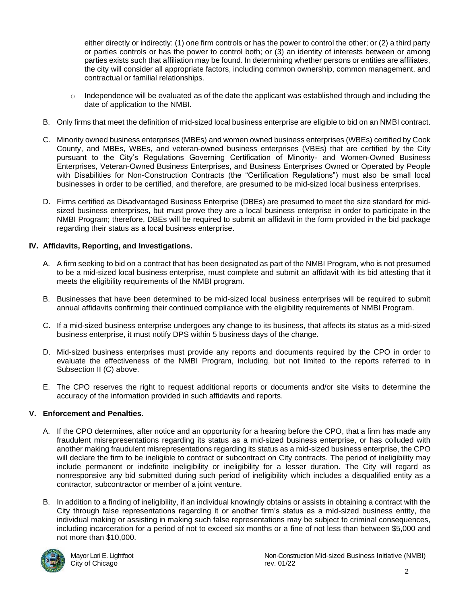either directly or indirectly: (1) one firm controls or has the power to control the other; or (2) a third party or parties controls or has the power to control both; or (3) an identity of interests between or among parties exists such that affiliation may be found. In determining whether persons or entities are affiliates, the city will consider all appropriate factors, including common ownership, common management, and contractual or familial relationships.

- $\circ$  Independence will be evaluated as of the date the applicant was established through and including the date of application to the NMBI.
- B. Only firms that meet the definition of mid-sized local business enterprise are eligible to bid on an NMBI contract.
- C. Minority owned business enterprises (MBEs) and women owned business enterprises (WBEs) certified by Cook County, and MBEs, WBEs, and veteran-owned business enterprises (VBEs) that are certified by the City pursuant to the City's Regulations Governing Certification of Minority- and Women-Owned Business Enterprises, Veteran-Owned Business Enterprises, and Business Enterprises Owned or Operated by People with Disabilities for Non-Construction Contracts (the "Certification Regulations") must also be small local businesses in order to be certified, and therefore, are presumed to be mid-sized local business enterprises.
- D. Firms certified as Disadvantaged Business Enterprise (DBEs) are presumed to meet the size standard for midsized business enterprises, but must prove they are a local business enterprise in order to participate in the NMBI Program; therefore, DBEs will be required to submit an affidavit in the form provided in the bid package regarding their status as a local business enterprise.

#### **IV. Affidavits, Reporting, and Investigations.**

- A. A firm seeking to bid on a contract that has been designated as part of the NMBI Program, who is not presumed to be a mid-sized local business enterprise, must complete and submit an affidavit with its bid attesting that it meets the eligibility requirements of the NMBI program.
- B. Businesses that have been determined to be mid-sized local business enterprises will be required to submit annual affidavits confirming their continued compliance with the eligibility requirements of NMBI Program.
- C. If a mid-sized business enterprise undergoes any change to its business, that affects its status as a mid-sized business enterprise, it must notify DPS within 5 business days of the change.
- D. Mid-sized business enterprises must provide any reports and documents required by the CPO in order to evaluate the effectiveness of the NMBI Program, including, but not limited to the reports referred to in Subsection II (C) above.
- E. The CPO reserves the right to request additional reports or documents and/or site visits to determine the accuracy of the information provided in such affidavits and reports.

#### **V. Enforcement and Penalties.**

- A. If the CPO determines, after notice and an opportunity for a hearing before the CPO, that a firm has made any fraudulent misrepresentations regarding its status as a mid-sized business enterprise, or has colluded with another making fraudulent misrepresentations regarding its status as a mid-sized business enterprise, the CPO will declare the firm to be ineligible to contract or subcontract on City contracts. The period of ineligibility may include permanent or indefinite ineligibility or ineligibility for a lesser duration. The City will regard as nonresponsive any bid submitted during such period of ineligibility which includes a disqualified entity as a contractor, subcontractor or member of a joint venture.
- B. In addition to a finding of ineligibility, if an individual knowingly obtains or assists in obtaining a contract with the City through false representations regarding it or another firm's status as a mid-sized business entity, the individual making or assisting in making such false representations may be subject to criminal consequences, including incarceration for a period of not to exceed six months or a fine of not less than between \$5,000 and not more than \$10,000.